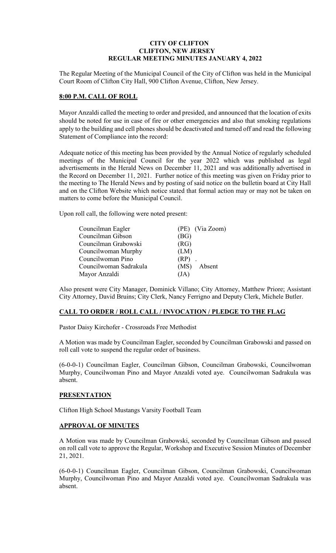# **CITY OF CLIFTON CLIFTON, NEW JERSEY REGULAR MEETING MINUTES JANUARY 4, 2022**

The Regular Meeting of the Municipal Council of the City of Clifton was held in the Municipal Court Room of Clifton City Hall, 900 Clifton Avenue, Clifton, New Jersey.

## **8:00 P.M. CALL OF ROLL**

Mayor Anzaldi called the meeting to order and presided, and announced that the location of exits should be noted for use in case of fire or other emergencies and also that smoking regulations apply to the building and cell phones should be deactivated and turned off and read the following Statement of Compliance into the record:

Adequate notice of this meeting has been provided by the Annual Notice of regularly scheduled meetings of the Municipal Council for the year 2022 which was published as legal advertisements in the Herald News on December 11, 2021 and was additionally advertised in the Record on December 11, 2021. Further notice of this meeting was given on Friday prior to the meeting to The Herald News and by posting of said notice on the bulletin board at City Hall and on the Clifton Website which notice stated that formal action may or may not be taken on matters to come before the Municipal Council.

Upon roll call, the following were noted present:

| Councilman Eagler      | (PE) (Via Zoom) |
|------------------------|-----------------|
| Councilman Gibson      | (BG)            |
| Councilman Grabowski   | (RG)            |
| Councilwoman Murphy    | (LM)            |
| Councilwoman Pino      | $(RP)$ .        |
| Councilwoman Sadrakula | (MS) Absent     |
| Mayor Anzaldi          | (JA)            |

Also present were City Manager, Dominick Villano; City Attorney, Matthew Priore; Assistant City Attorney, David Bruins; City Clerk, Nancy Ferrigno and Deputy Clerk, Michele Butler.

## **CALL TO ORDER / ROLL CALL / INVOCATION / PLEDGE TO THE FLAG**

Pastor Daisy Kirchofer - Crossroads Free Methodist

A Motion was made by Councilman Eagler, seconded by Councilman Grabowski and passed on roll call vote to suspend the regular order of business.

(6-0-0-1) Councilman Eagler, Councilman Gibson, Councilman Grabowski, Councilwoman Murphy, Councilwoman Pino and Mayor Anzaldi voted aye. Councilwoman Sadrakula was absent.

## **PRESENTATION**

Clifton High School Mustangs Varsity Football Team

## **APPROVAL OF MINUTES**

A Motion was made by Councilman Grabowski, seconded by Councilman Gibson and passed on roll call vote to approve the Regular, Workshop and Executive Session Minutes of December 21, 2021.

(6-0-0-1) Councilman Eagler, Councilman Gibson, Councilman Grabowski, Councilwoman Murphy, Councilwoman Pino and Mayor Anzaldi voted aye. Councilwoman Sadrakula was absent.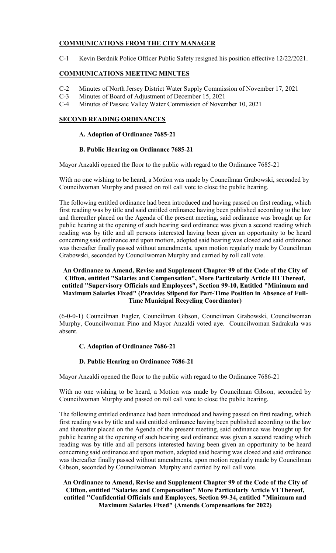# **COMMUNICATIONS FROM THE CITY MANAGER**

C-1 Kevin Berdnik Police Officer Public Safety resigned his position effective 12/22/2021.

# **COMMUNICATIONS MEETING MINUTES**

- C-2 Minutes of North Jersey District Water Supply Commission of November 17, 2021
- C-3 Minutes of Board of Adjustment of December 15, 2021
- C-4 Minutes of Passaic Valley Water Commission of November 10, 2021

# **SECOND READING ORDINANCES**

# **A. Adoption of Ordinance 7685-21**

# **B. Public Hearing on Ordinance 7685-21**

Mayor Anzaldi opened the floor to the public with regard to the Ordinance 7685-21

With no one wishing to be heard, a Motion was made by Councilman Grabowski, seconded by Councilwoman Murphy and passed on roll call vote to close the public hearing.

The following entitled ordinance had been introduced and having passed on first reading, which first reading was by title and said entitled ordinance having been published according to the law and thereafter placed on the Agenda of the present meeting, said ordinance was brought up for public hearing at the opening of such hearing said ordinance was given a second reading which reading was by title and all persons interested having been given an opportunity to be heard concerning said ordinance and upon motion, adopted said hearing was closed and said ordinance was thereafter finally passed without amendments, upon motion regularly made by Councilman Grabowski, seconded by Councilwoman Murphy and carried by roll call vote.

## **An Ordinance to Amend, Revise and Supplement Chapter 99 of the Code of the City of Clifton, entitled "Salaries and Compensation", More Particularly Article III Thereof, entitled "Supervisory Officials and Employees", Section 99-10, Entitled "Minimum and Maximum Salaries Fixed" (Provides Stipend for Part-Time Position in Absence of Full-Time Municipal Recycling Coordinator)**

(6-0-0-1) Councilman Eagler, Councilman Gibson, Councilman Grabowski, Councilwoman Murphy, Councilwoman Pino and Mayor Anzaldi voted aye. Councilwoman Sadrakula was absent.

# **C. Adoption of Ordinance 7686-21**

## **D. Public Hearing on Ordinance 7686-21**

Mayor Anzaldi opened the floor to the public with regard to the Ordinance 7686-21

With no one wishing to be heard, a Motion was made by Councilman Gibson, seconded by Councilwoman Murphy and passed on roll call vote to close the public hearing.

The following entitled ordinance had been introduced and having passed on first reading, which first reading was by title and said entitled ordinance having been published according to the law and thereafter placed on the Agenda of the present meeting, said ordinance was brought up for public hearing at the opening of such hearing said ordinance was given a second reading which reading was by title and all persons interested having been given an opportunity to be heard concerning said ordinance and upon motion, adopted said hearing was closed and said ordinance was thereafter finally passed without amendments, upon motion regularly made by Councilman Gibson, seconded by Councilwoman Murphy and carried by roll call vote.

**An Ordinance to Amend, Revise and Supplement Chapter 99 of the Code of the City of Clifton, entitled "Salaries and Compensation" More Particularly Article VI Thereof, entitled "Confidential Officials and Employees, Section 99-34, entitled "Minimum and Maximum Salaries Fixed" (Amends Compensations for 2022)**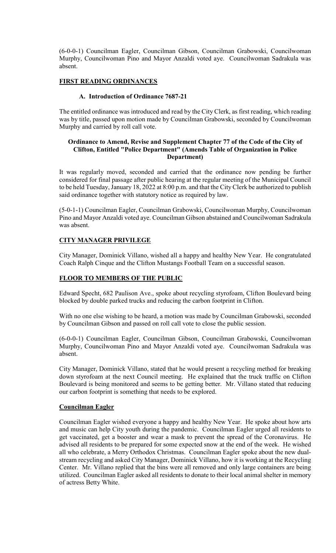(6-0-0-1) Councilman Eagler, Councilman Gibson, Councilman Grabowski, Councilwoman Murphy, Councilwoman Pino and Mayor Anzaldi voted aye. Councilwoman Sadrakula was absent.

# **FIRST READING ORDINANCES**

# **A. Introduction of Ordinance 7687-21**

The entitled ordinance was introduced and read by the City Clerk, as first reading, which reading was by title, passed upon motion made by Councilman Grabowski, seconded by Councilwoman Murphy and carried by roll call vote.

## **Ordinance to Amend, Revise and Supplement Chapter 77 of the Code of the City of Clifton, Entitled "Police Department" (Amends Table of Organization in Police Department)**

It was regularly moved, seconded and carried that the ordinance now pending be further considered for final passage after public hearing at the regular meeting of the Municipal Council to be held Tuesday, January 18, 2022 at 8:00 p.m. and that the City Clerk be authorized to publish said ordinance together with statutory notice as required by law.

(5-0-1-1) Councilman Eagler, Councilman Grabowski, Councilwoman Murphy, Councilwoman Pino and Mayor Anzaldi voted aye. Councilman Gibson abstained and Councilwoman Sadrakula was absent.

# **CITY MANAGER PRIVILEGE**

City Manager, Dominick Villano, wished all a happy and healthy New Year. He congratulated Coach Ralph Cinque and the Clifton Mustangs Football Team on a successful season.

# **FLOOR TO MEMBERS OF THE PUBLIC**

Edward Specht, 682 Paulison Ave., spoke about recycling styrofoam, Clifton Boulevard being blocked by double parked trucks and reducing the carbon footprint in Clifton.

With no one else wishing to be heard, a motion was made by Councilman Grabowski, seconded by Councilman Gibson and passed on roll call vote to close the public session.

(6-0-0-1) Councilman Eagler, Councilman Gibson, Councilman Grabowski, Councilwoman Murphy, Councilwoman Pino and Mayor Anzaldi voted aye. Councilwoman Sadrakula was absent.

City Manager, Dominick Villano, stated that he would present a recycling method for breaking down styrofoam at the next Council meeting. He explained that the truck traffic on Clifton Boulevard is being monitored and seems to be getting better. Mr. Villano stated that reducing our carbon footprint is something that needs to be explored.

## **Councilman Eagler**

Councilman Eagler wished everyone a happy and healthy New Year. He spoke about how arts and music can help City youth during the pandemic. Councilman Eagler urged all residents to get vaccinated, get a booster and wear a mask to prevent the spread of the Coronavirus. He advised all residents to be prepared for some expected snow at the end of the week. He wished all who celebrate, a Merry Orthodox Christmas. Councilman Eagler spoke about the new dualstream recycling and asked City Manager, Dominick Villano, how it is working at the Recycling Center. Mr. Villano replied that the bins were all removed and only large containers are being utilized. Councilman Eagler asked all residents to donate to their local animal shelter in memory of actress Betty White.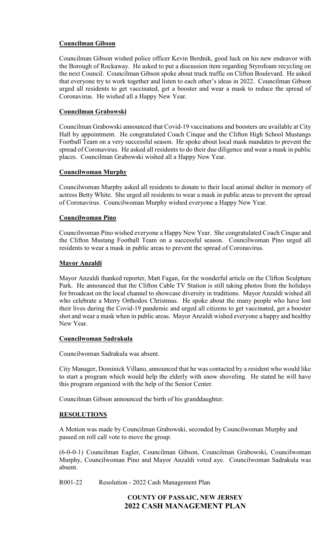# **Councilman Gibson**

Councilman Gibson wished police officer Kevin Berdnik, good luck on his new endeavor with the Borough of Rockaway. He asked to put a discussion item regarding Styrofoam recycling on the next Council. Councilman Gibson spoke about truck traffic on Clifton Boulevard. He asked that everyone try to work together and listen to each other's ideas in 2022. Councilman Gibson urged all residents to get vaccinated, get a booster and wear a mask to reduce the spread of Coronavirus. He wished all a Happy New Year.

# **Councilman Grabowski**

Councilman Grabowski announced that Covid-19 vaccinations and boosters are available at City Hall by appointment. He congratulated Coach Cinque and the Clifton High School Mustangs Football Team on a very successful season. He spoke about local mask mandates to prevent the spread of Coronavirus. He asked all residents to do their due diligence and wear a mask in public places. Councilman Grabowski wished all a Happy New Year.

## **Councilwoman Murphy**

Councilwoman Murphy asked all residents to donate to their local animal shelter in memory of actress Betty White. She urged all residents to wear a mask in public areas to prevent the spread of Coronavirus. Councilwoman Murphy wished everyone a Happy New Year.

## **Councilwoman Pino**

Councilwoman Pino wished everyone a Happy New Year. She congratulated Coach Cinque and the Clifton Mustang Football Team on a successful season. Councilwoman Pino urged all residents to wear a mask in public areas to prevent the spread of Coronavirus.

## **Mayor Anzaldi**

Mayor Anzaldi thanked reporter, Matt Fagan, for the wonderful article on the Clifton Sculpture Park. He announced that the Clifton Cable TV Station is still taking photos from the holidays for broadcast on the local channel to showcase diversity in traditions. Mayor Anzaldi wished all who celebrate a Merry Orthodox Christmas. He spoke about the many people who have lost their lives during the Covid-19 pandemic and urged all citizens to get vaccinated, get a booster shot and wear a mask when in public areas. Mayor Anzaldi wished everyone a happy and healthy New Year.

## **Councilwoman Sadrakula**

Councilwoman Sadrakula was absent.

City Manager, Dominick Villano, announced that he was contacted by a resident who would like to start a program which would help the elderly with snow shoveling. He stated he will have this program organized with the help of the Senior Center.

Councilman Gibson announced the birth of his granddaughter.

## **RESOLUTIONS**

A Motion was made by Councilman Grabowski, seconded by Councilwoman Murphy and passed on roll call vote to move the group.

(6-0-0-1) Councilman Eagler, Councilman Gibson, Councilman Grabowski, Councilwoman Murphy, Councilwoman Pino and Mayor Anzaldi voted aye. Councilwoman Sadrakula was absent.

R001-22 Resolution - 2022 Cash Management Plan

# **COUNTY OF PASSAIC, NEW JERSEY 2022 CASH MANAGEMENT PLAN**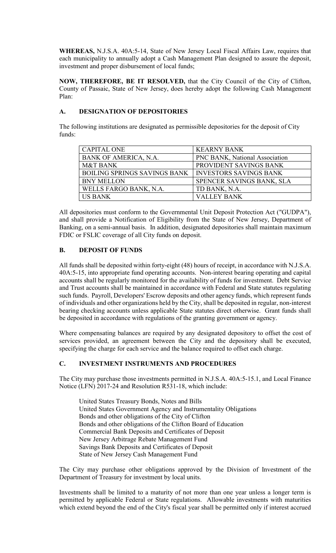**WHEREAS,** N.J.S.A. 40A:5-14, State of New Jersey Local Fiscal Affairs Law, requires that each municipality to annually adopt a Cash Management Plan designed to assure the deposit, investment and proper disbursement of local funds;

**NOW, THEREFORE, BE IT RESOLVED,** that the City Council of the City of Clifton, County of Passaic, State of New Jersey, does hereby adopt the following Cash Management Plan:

# **A. DESIGNATION OF DEPOSITORIES**

The following institutions are designated as permissible depositories for the deposit of City funds:

| <b>CAPITAL ONE</b>                  | <b>KEARNY BANK</b>             |
|-------------------------------------|--------------------------------|
| BANK OF AMERICA, N.A.               | PNC BANK, National Association |
| <b>M&amp;T BANK</b>                 | PROVIDENT SAVINGS BANK         |
| <b>BOILING SPRINGS SAVINGS BANK</b> | <b>INVESTORS SAVINGS BANK</b>  |
| <b>BNY MELLON</b>                   | SPENCER SAVINGS BANK, SLA      |
| WELLS FARGO BANK, N.A.              | TD BANK, N.A.                  |
| <b>US BANK</b>                      | <b>VALLEY BANK</b>             |

All depositories must conform to the Governmental Unit Deposit Protection Act ("GUDPA"), and shall provide a Notification of Eligibility from the State of New Jersey, Department of Banking, on a semi-annual basis. In addition, designated depositories shall maintain maximum FDIC or FSLIC coverage of all City funds on deposit.

# **B. DEPOSIT OF FUNDS**

All funds shall be deposited within forty-eight (48) hours of receipt, in accordance with N.J.S.A. 40A:5-15, into appropriate fund operating accounts. Non-interest bearing operating and capital accounts shall be regularly monitored for the availability of funds for investment. Debt Service and Trust accounts shall be maintained in accordance with Federal and State statutes regulating such funds. Payroll, Developers' Escrow deposits and other agency funds, which represent funds of individuals and other organizations held by the City, shall be deposited in regular, non-interest bearing checking accounts unless applicable State statutes direct otherwise. Grant funds shall be deposited in accordance with regulations of the granting government or agency.

Where compensating balances are required by any designated depository to offset the cost of services provided, an agreement between the City and the depository shall be executed, specifying the charge for each service and the balance required to offset each charge.

# **C. INVESTMENT INSTRUMENTS AND PROCEDURES**

The City may purchase those investments permitted in N.J.S.A. 40A:5-15.1, and Local Finance Notice (LFN) 2017-24 and Resolution R531-18, which include:

United States Treasury Bonds, Notes and Bills United States Government Agency and Instrumentality Obligations Bonds and other obligations of the City of Clifton Bonds and other obligations of the Clifton Board of Education Commercial Bank Deposits and Certificates of Deposit New Jersey Arbitrage Rebate Management Fund Savings Bank Deposits and Certificates of Deposit State of New Jersey Cash Management Fund

The City may purchase other obligations approved by the Division of Investment of the Department of Treasury for investment by local units.

Investments shall be limited to a maturity of not more than one year unless a longer term is permitted by applicable Federal or State regulations. Allowable investments with maturities which extend beyond the end of the City's fiscal year shall be permitted only if interest accrued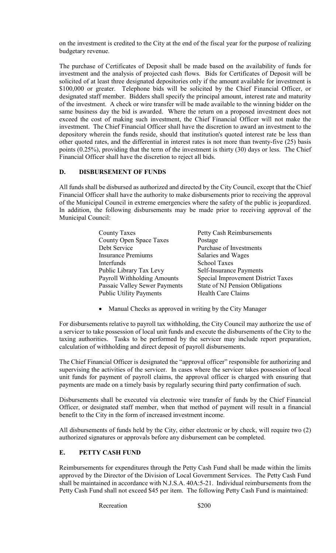on the investment is credited to the City at the end of the fiscal year for the purpose of realizing budgetary revenue.

The purchase of Certificates of Deposit shall be made based on the availability of funds for investment and the analysis of projected cash flows. Bids for Certificates of Deposit will be solicited of at least three designated depositories only if the amount available for investment is \$100,000 or greater. Telephone bids will be solicited by the Chief Financial Officer, or designated staff member. Bidders shall specify the principal amount, interest rate and maturity of the investment. A check or wire transfer will be made available to the winning bidder on the same business day the bid is awarded. Where the return on a proposed investment does not exceed the cost of making such investment, the Chief Financial Officer will not make the investment. The Chief Financial Officer shall have the discretion to award an investment to the depository wherein the funds reside, should that institution's quoted interest rate be less than other quoted rates, and the differential in interest rates is not more than twenty-five (25) basis points (0.25%), providing that the term of the investment is thirty (30) days or less. The Chief Financial Officer shall have the discretion to reject all bids.

## **D. DISBURSEMENT OF FUNDS**

All funds shall be disbursed as authorized and directed by the City Council, except that the Chief Financial Officer shall have the authority to make disbursements prior to receiving the approval of the Municipal Council in extreme emergencies where the safety of the public is jeopardized. In addition, the following disbursements may be made prior to receiving approval of the Municipal Council:

| <b>County Taxes</b>            | Petty Cash Reimbursements          |
|--------------------------------|------------------------------------|
| <b>County Open Space Taxes</b> | Postage                            |
| Debt Service                   | Purchase of Investments            |
| <b>Insurance Premiums</b>      | Salaries and Wages                 |
| Interfunds                     | <b>School Taxes</b>                |
| Public Library Tax Levy        | <b>Self-Insurance Payments</b>     |
| Payroll Withholding Amounts    | Special Improvement District Taxes |
| Passaic Valley Sewer Payments  | State of NJ Pension Obligations    |
| <b>Public Utility Payments</b> | <b>Health Care Claims</b>          |

• Manual Checks as approved in writing by the City Manager

For disbursements relative to payroll tax withholding, the City Council may authorize the use of a servicer to take possession of local unit funds and execute the disbursements of the City to the taxing authorities. Tasks to be performed by the servicer may include report preparation, calculation of withholding and direct deposit of payroll disbursements.

The Chief Financial Officer is designated the "approval officer" responsible for authorizing and supervising the activities of the servicer. In cases where the servicer takes possession of local unit funds for payment of payroll claims, the approval officer is charged with ensuring that payments are made on a timely basis by regularly securing third party confirmation of such.

Disbursements shall be executed via electronic wire transfer of funds by the Chief Financial Officer, or designated staff member, when that method of payment will result in a financial benefit to the City in the form of increased investment income.

All disbursements of funds held by the City, either electronic or by check, will require two (2) authorized signatures or approvals before any disbursement can be completed.

## **E. PETTY CASH FUND**

Reimbursements for expenditures through the Petty Cash Fund shall be made within the limits approved by the Director of the Division of Local Government Services. The Petty Cash Fund shall be maintained in accordance with N.J.S.A. 40A:5-21. Individual reimbursements from the Petty Cash Fund shall not exceed \$45 per item. The following Petty Cash Fund is maintained:

Recreation \$200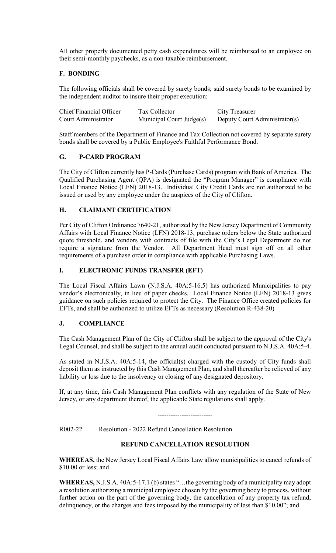All other properly documented petty cash expenditures will be reimbursed to an employee on their semi-monthly paychecks, as a non-taxable reimbursement.

# **F. BONDING**

The following officials shall be covered by surety bonds; said surety bonds to be examined by the independent auditor to insure their proper execution:

| Chief Financial Officer | Tax Collector            | City Treasurer                |
|-------------------------|--------------------------|-------------------------------|
| Court Administrator     | Municipal Court Judge(s) | Deputy Court Administrator(s) |

Staff members of the Department of Finance and Tax Collection not covered by separate surety bonds shall be covered by a Public Employee's Faithful Performance Bond.

# **G. P-CARD PROGRAM**

The City of Clifton currently has P-Cards (Purchase Cards) program with Bank of America. The Qualified Purchasing Agent (QPA) is designated the "Program Manager" is compliance with Local Finance Notice (LFN) 2018-13. Individual City Credit Cards are not authorized to be issued or used by any employee under the auspices of the City of Clifton.

# **H. CLAIMANT CERTIFICATION**

Per City of Clifton Ordinance 7640-21, authorized by the New Jersey Department of Community Affairs with Local Finance Notice (LFN) 2018-13, purchase orders below the State authorized quote threshold, and vendors with contracts of file with the City's Legal Department do not require a signature from the Vendor. All Department Head must sign off on all other requirements of a purchase order in compliance with applicable Purchasing Laws.

# **I. ELECTRONIC FUNDS TRANSFER (EFT)**

The Local Fiscal Affairs Lawn (N.J.S.A. 40A:5-16.5) has authorized Municipalities to pay vendor's electronically, in lieu of paper checks. Local Finance Notice (LFN) 2018-13 gives guidance on such policies required to protect the City. The Finance Office created policies for EFTs, and shall be authorized to utilize EFTs as necessary (Resolution R-438-20)

# **J. COMPLIANCE**

The Cash Management Plan of the City of Clifton shall be subject to the approval of the City's Legal Counsel, and shall be subject to the annual audit conducted pursuant to N.J.S.A. 40A:5-4.

As stated in N.J.S.A. 40A:5-14, the official(s) charged with the custody of City funds shall deposit them as instructed by this Cash Management Plan, and shall thereafter be relieved of any liability or loss due to the insolvency or closing of any designated depository.

If, at any time, this Cash Management Plan conflicts with any regulation of the State of New Jersey, or any department thereof, the applicable State regulations shall apply.

-------------------------

R002-22 Resolution - 2022 Refund Cancellation Resolution

# **REFUND CANCELLATION RESOLUTION**

**WHEREAS,** the New Jersey Local Fiscal Affairs Law allow municipalities to cancel refunds of \$10.00 or less; and

**WHEREAS,** N.J.S.A. 40A:5-17.1 (b) states "…the governing body of a municipality may adopt a resolution authorizing a municipal employee chosen by the governing body to process, without further action on the part of the governing body, the cancellation of any property tax refund, delinquency, or the charges and fees imposed by the municipality of less than \$10.00"; and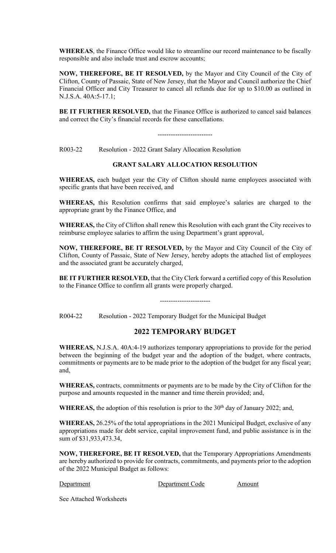**WHEREAS**, the Finance Office would like to streamline our record maintenance to be fiscally responsible and also include trust and escrow accounts;

**NOW, THEREFORE, BE IT RESOLVED,** by the Mayor and City Council of the City of Clifton, County of Passaic, State of New Jersey, that the Mayor and Council authorize the Chief Financial Officer and City Treasurer to cancel all refunds due for up to \$10.00 as outlined in N.J.S.A. 40A:5-17.1;

**BE IT FURTHER RESOLVED,** that the Finance Office is authorized to cancel said balances and correct the City's financial records for these cancellations.

-------------------------

R003-22 Resolution - 2022 Grant Salary Allocation Resolution

# **GRANT SALARY ALLOCATION RESOLUTION**

**WHEREAS,** each budget year the City of Clifton should name employees associated with specific grants that have been received, and

**WHEREAS,** this Resolution confirms that said employee's salaries are charged to the appropriate grant by the Finance Office, and

**WHEREAS,** the City of Clifton shall renew this Resolution with each grant the City receives to reimburse employee salaries to affirm the using Department's grant approval,

**NOW, THEREFORE, BE IT RESOLVED,** by the Mayor and City Council of the City of Clifton, County of Passaic, State of New Jersey, hereby adopts the attached list of employees and the associated grant be accurately charged,

**BE IT FURTHER RESOLVED,** that the City Clerk forward a certified copy of this Resolution to the Finance Office to confirm all grants were properly charged.

-----------------------

R004-22 Resolution - 2022 Temporary Budget for the Municipal Budget

# **2022 TEMPORARY BUDGET**

**WHEREAS,** N.J.S.A. 40A:4-19 authorizes temporary appropriations to provide for the period between the beginning of the budget year and the adoption of the budget, where contracts, commitments or payments are to be made prior to the adoption of the budget for any fiscal year; and,

**WHEREAS,** contracts, commitments or payments are to be made by the City of Clifton for the purpose and amounts requested in the manner and time therein provided; and,

WHEREAS, the adoption of this resolution is prior to the 30<sup>th</sup> day of January 2022; and,

**WHEREAS,** 26.25% of the total appropriations in the 2021 Municipal Budget, exclusive of any appropriations made for debt service, capital improvement fund, and public assistance is in the sum of \$31,933,473.34,

**NOW, THEREFORE, BE IT RESOLVED,** that the Temporary Appropriations Amendments are hereby authorized to provide for contracts, commitments, and payments prior to the adoption of the 2022 Municipal Budget as follows:

Department Department Code Amount

See Attached Worksheets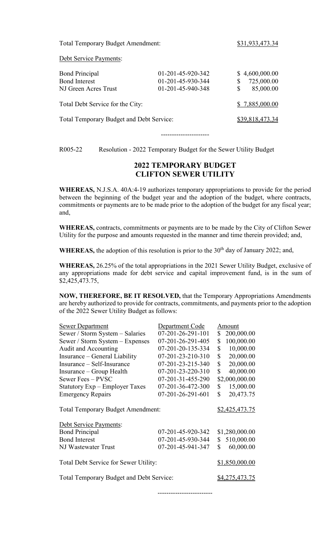Total Temporary Budget Amendment: \$31,933,473.34

Debt Service Payments:

| <b>Bond Principal</b>                    | 01-201-45-920-342 | \$4,600,000.00  |
|------------------------------------------|-------------------|-----------------|
| <b>Bond Interest</b>                     | 01-201-45-930-344 | 725,000.00      |
| NJ Green Acres Trust                     | 01-201-45-940-348 | 85,000.00       |
| Total Debt Service for the City:         |                   | \$7,885,000.00  |
| Total Temporary Budget and Debt Service: |                   | \$39,818,473.34 |
|                                          |                   |                 |

----------------------

R005-22 Resolution - 2022 Temporary Budget for the Sewer Utility Budget

# **2022 TEMPORARY BUDGET CLIFTON SEWER UTILITY**

**WHEREAS,** N.J.S.A. 40A:4-19 authorizes temporary appropriations to provide for the period between the beginning of the budget year and the adoption of the budget, where contracts, commitments or payments are to be made prior to the adoption of the budget for any fiscal year; and,

**WHEREAS,** contracts, commitments or payments are to be made by the City of Clifton Sewer Utility for the purpose and amounts requested in the manner and time therein provided; and,

**WHEREAS,** the adoption of this resolution is prior to the  $30<sup>th</sup>$  day of January 2022; and,

**WHEREAS,** 26.25% of the total appropriations in the 2021 Sewer Utility Budget, exclusive of any appropriations made for debt service and capital improvement fund, is in the sum of \$2,425,473.75,

**NOW, THEREFORE, BE IT RESOLVED,** that the Temporary Appropriations Amendments are hereby authorized to provide for contracts, commitments, and payments prior to the adoption of the 2022 Sewer Utility Budget as follows:

| <b>Sewer Department</b>                                            | Department Code   |    | Amount                |
|--------------------------------------------------------------------|-------------------|----|-----------------------|
| Sewer / Storm System - Salaries                                    | 07-201-26-291-101 | \$ | 200,000.00            |
| Sewer / Storm System - Expenses                                    | 07-201-26-291-405 | \$ | 100,000.00            |
| Audit and Accounting                                               | 07-201-20-135-334 | \$ | 10,000.00             |
| Insurance – General Liability                                      | 07-201-23-210-310 | \$ | 20,000.00             |
| Insurance - Self-Insurance                                         | 07-201-23-215-340 | \$ | 20,000.00             |
| Insurance – Group Health                                           | 07-201-23-220-310 | \$ | 40,000.00             |
| Sewer Fees - PVSC                                                  | 07-201-31-455-290 |    | \$2,000,000.00        |
| Statutory Exp – Employer Taxes                                     | 07-201-36-472-300 | \$ | 15,000.00             |
| <b>Emergency Repairs</b>                                           | 07-201-26-291-601 | \$ | 20,473.75             |
| <b>Total Temporary Budget Amendment:</b><br>Debt Service Payments: |                   |    | \$2,425,473.75        |
| <b>Bond Principal</b>                                              | 07-201-45-920-342 |    | \$1,280,000.00        |
| <b>Bond Interest</b>                                               | 07-201-45-930-344 | S  | 510,000.00            |
| NJ Wastewater Trust                                                | 07-201-45-941-347 | \$ | 60,000.00             |
| Total Debt Service for Sewer Utility:                              |                   |    | \$1,850,000.00        |
|                                                                    |                   |    |                       |
| <b>Total Temporary Budget and Debt Service:</b>                    |                   |    | <u>\$4,275,473.75</u> |

-------------------------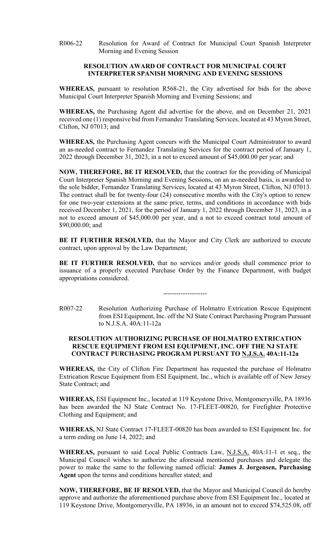R006-22 Resolution for Award of Contract for Municipal Court Spanish Interpreter Morning and Evening Session

#### **RESOLUTION AWARD OF CONTRACT FOR MUNICIPAL COURT INTERPRETER SPANISH MORNING AND EVENING SESSIONS**

**WHEREAS,** pursuant to resolution R568-21, the City advertised for bids for the above Municipal Court Interpreter Spanish Morning and Evening Sessions; and

**WHEREAS,** the Purchasing Agent did advertise for the above, and on December 21, 2021 received one (1) responsive bid from Fernandez Translating Services, located at 43 Myron Street, Clifton, NJ 07013; and

**WHEREAS,** the Purchasing Agent concurs with the Municipal Court Administrator to award an as-needed contract to Fernandez Translating Services for the contract period of January 1, 2022 through December 31, 2023, in a not to exceed amount of \$45,000.00 per year; and

**NOW, THEREFORE, BE IT RESOLVED,** that the contract for the providing of Municipal Court Interpreter Spanish Morning and Evening Sessions, on an as-needed basis, is awarded to the sole bidder, Fernandez Translating Services, located at 43 Myron Street, Clifton, NJ 07013. The contract shall be for twenty-four (24) consecutive months with the City's option to renew for one two-year extensions at the same price, terms, and conditions in accordance with bids received December 1, 2021, for the period of January 1, 2022 through December 31, 2023, in a not to exceed amount of \$45,000.00 per year, and a not to exceed contract total amount of \$90,000.00; and

**BE IT FURTHER RESOLVED,** that the Mayor and City Clerk are authorized to execute contract, upon approval by the Law Department;

**BE IT FURTHER RESOLVED,** that no services and/or goods shall commence prior to issuance of a properly executed Purchase Order by the Finance Department, with budget appropriations considered.

R007-22 Resolution Authorizing Purchase of Holmatro Extrication Rescue Equipment from ESI Equipment, Inc. off the NJ State Contract Purchasing Program Pursuant to N.J.S.A. 40A:11-12a

--------------------

## **RESOLUTION AUTHORIZING PURCHASE OF HOLMATRO EXTRICATION RESCUE EQUIPMENT FROM ESI EQUIPMENT, INC. OFF THE NJ STATE CONTRACT PURCHASING PROGRAM PURSUANT TO N.J.S.A. 40A:11-12a**

**WHEREAS,** the City of Clifton Fire Department has requested the purchase of Holmatro Extrication Rescue Equipment from ESI Equipment, Inc., which is available off of New Jersey State Contract; and

**WHEREAS,** ESI Equipment Inc., located at 119 Keystone Drive, Montgomeryville, PA 18936 has been awarded the NJ State Contract No. 17-FLEET-00820, for Firefighter Protective Clothing and Equipment; and

**WHEREAS,** NJ State Contract 17-FLEET-00820 has been awarded to ESI Equipment Inc. for a term ending on June 14, 2022; and

**WHEREAS,** pursuant to said Local Public Contracts Law, N.J.S.A. 40A:11-1 et seq., the Municipal Council wishes to authorize the aforesaid mentioned purchases and delegate the power to make the same to the following named official: **James J. Jorgensen, Purchasing Agent** upon the terms and conditions hereafter stated; and

**NOW, THEREFORE, BE IF RESOLVED,** that the Mayor and Municipal Council do hereby approve and authorize the aforementioned purchase above from ESI Equipment Inc., located at 119 Keystone Drive, Montgomeryville, PA 18936, in an amount not to exceed \$74,525.08, off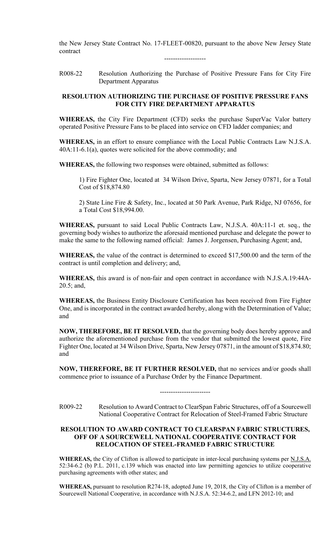the New Jersey State Contract No. 17-FLEET-00820, pursuant to the above New Jersey State contract

-------------------

R008-22 Resolution Authorizing the Purchase of Positive Pressure Fans for City Fire Department Apparatus

#### **RESOLUTION AUTHORIZING THE PURCHASE OF POSITIVE PRESSURE FANS FOR CITY FIRE DEPARTMENT APPARATUS**

**WHEREAS,** the City Fire Department (CFD) seeks the purchase SuperVac Valor battery operated Positive Pressure Fans to be placed into service on CFD ladder companies; and

**WHEREAS,** in an effort to ensure compliance with the Local Public Contracts Law N.J.S.A. 40A:11-6.1(a), quotes were solicited for the above commodity; and

**WHEREAS,** the following two responses were obtained, submitted as follows:

1) Fire Fighter One, located at 34 Wilson Drive, Sparta, New Jersey 07871, for a Total Cost of \$18,874.80

2) State Line Fire & Safety, Inc., located at 50 Park Avenue, Park Ridge, NJ 07656, for a Total Cost \$18,994.00.

**WHEREAS,** pursuant to said Local Public Contracts Law, N.J.S.A. 40A:11-1 et. seq., the governing body wishes to authorize the aforesaid mentioned purchase and delegate the power to make the same to the following named official: James J. Jorgensen, Purchasing Agent; and,

**WHEREAS,** the value of the contract is determined to exceed \$17,500.00 and the term of the contract is until completion and delivery; and,

**WHEREAS,** this award is of non-fair and open contract in accordance with N.J.S.A.19:44A-20.5; and,

**WHEREAS,** the Business Entity Disclosure Certification has been received from Fire Fighter One, and is incorporated in the contract awarded hereby, along with the Determination of Value; and

**NOW, THEREFORE, BE IT RESOLVED,** that the governing body does hereby approve and authorize the aforementioned purchase from the vendor that submitted the lowest quote, Fire Fighter One, located at 34 Wilson Drive, Sparta, New Jersey 07871, in the amount of \$18,874.80; and

**NOW, THEREFORE, BE IT FURTHER RESOLVED,** that no services and/or goods shall commence prior to issuance of a Purchase Order by the Finance Department.

R009-22 Resolution to Award Contract to ClearSpan Fabric Structures, off of a Sourcewell National Cooperative Contract for Relocation of Steel-Framed Fabric Structure

-----------------------

## **RESOLUTION TO AWARD CONTRACT TO CLEARSPAN FABRIC STRUCTURES, OFF OF A SOURCEWELL NATIONAL COOPERATIVE CONTRACT FOR RELOCATION OF STEEL-FRAMED FABRIC STRUCTURE**

**WHEREAS,** the City of Clifton is allowed to participate in inter-local purchasing systems per N.J.S.A. 52:34-6.2 (b) P.L. 2011, c.139 which was enacted into law permitting agencies to utilize cooperative purchasing agreements with other states; and

**WHEREAS,** pursuant to resolution R274-18, adopted June 19, 2018, the City of Clifton is a member of Sourcewell National Cooperative, in accordance with N.J.S.A. 52:34-6.2, and LFN 2012-10; and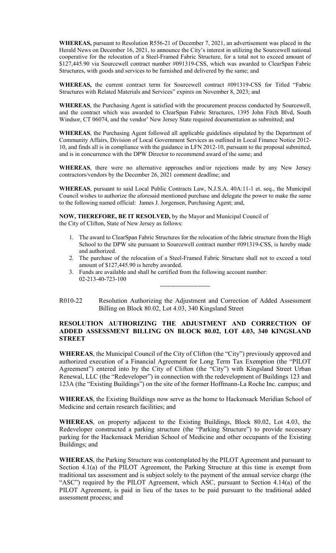**WHEREAS,** pursuant to Resolution R556-21 of December 7, 2021, an advertisement was placed in the Herald News on December 16, 2021, to announce the City's interest in utilizing the Sourcewell national cooperative for the relocation of a Steel-Framed Fabric Structure, for a total not to exceed amount of \$127,445.90 via Sourcewell contract number #091319-CSS, which was awarded to ClearSpan Fabric Structures, with goods and services to be furnished and delivered by the same; and

**WHEREAS,** the current contract term for Sourcewell contract #091319-CSS for Titled "Fabric Structures with Related Materials and Services" expires on November 8, 2023; and

**WHEREAS**, the Purchasing Agent is satisfied with the procurement process conducted by Sourcewell, and the contract which was awarded to ClearSpan Fabric Structures, 1395 John Fitch Blvd, South Windsor, CT 06074, and the vendor' New Jersey State required documentation as submitted; and

**WHEREAS**, the Purchasing Agent followed all applicable guidelines stipulated by the Department of Community Affairs, Division of Local Government Services as outlined in Local Finance Notice 2012- 10, and finds all is in compliance with the guidance in LFN 2012-10, pursuant to the proposal submitted, and is in concurrence with the DPW Director to recommend award of the same; and

**WHEREAS**, there were no alternative approaches and/or rejections made by any New Jersey contractors/vendors by the December 26, 2021 comment deadline; and

**WHEREAS**, pursuant to said Local Public Contracts Law, N.J.S.A. 40A:11-1 et. seq., the Municipal Council wishes to authorize the aforesaid mentioned purchase and delegate the power to make the same to the following named official: James J. Jorgensen, Purchasing Agent; and,

**NOW, THEREFORE, BE IT RESOLVED,** by the Mayor and Municipal Council of the City of Clifton, State of New Jersey as follows:

- 1. The award to ClearSpan Fabric Structures for the relocation of the fabric structure from the High School to the DPW site pursuant to Sourcewell contract number #091319-CSS, is hereby made and authorized.
- 2. The purchase of the relocation of a Steel-Framed Fabric Structure shall not to exceed a total amount of \$127,445.90 is hereby awarded.
- 3. Funds are available and shall be certified from the following account number: 02-213-40-723-100
- R010-22 Resolution Authorizing the Adjustment and Correction of Added Assessment Billing on Block 80.02, Lot 4.03, 340 Kingsland Street

-------------------------

## **RESOLUTION AUTHORIZING THE ADJUSTMENT AND CORRECTION OF ADDED ASSESSMENT BILLING ON BLOCK 80.02, LOT 4.03, 340 KINGSLAND STREET**

**WHEREAS**, the Municipal Council of the City of Clifton (the "City") previously approved and authorized execution of a Financial Agreement for Long Term Tax Exemption (the "PILOT Agreement") entered into by the City of Clifton (the "City") with Kingsland Street Urban Renewal, LLC (the "Redeveloper") in connection with the redevelopment of Buildings 123 and 123A (the "Existing Buildings") on the site of the former Hoffmann-La Roche Inc. campus; and

**WHEREAS**, the Existing Buildings now serve as the home to Hackensack Meridian School of Medicine and certain research facilities; and

**WHEREAS**, on property adjacent to the Existing Buildings, Block 80.02, Lot 4.03, the Redeveloper constructed a parking structure (the "Parking Structure") to provide necessary parking for the Hackensack Meridian School of Medicine and other occupants of the Existing Buildings; and

**WHEREAS**, the Parking Structure was contemplated by the PILOT Agreement and pursuant to Section 4.1(a) of the PILOT Agreement, the Parking Structure at this time is exempt from traditional tax assessment and is subject solely to the payment of the annual service charge (the "ASC") required by the PILOT Agreement, which ASC, pursuant to Section 4.14(a) of the PILOT Agreement, is paid in lieu of the taxes to be paid pursuant to the traditional added assessment process; and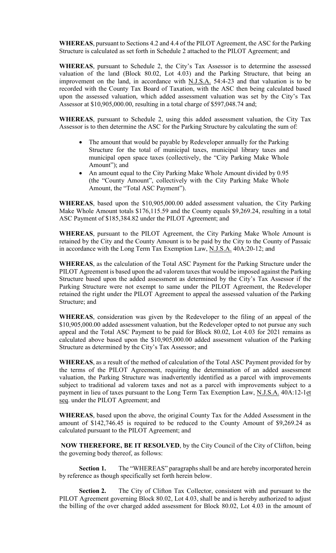**WHEREAS**, pursuant to Sections 4.2 and 4.4 of the PILOT Agreement, the ASC for the Parking Structure is calculated as set forth in Schedule 2 attached to the PILOT Agreement; and

**WHEREAS**, pursuant to Schedule 2, the City's Tax Assessor is to determine the assessed valuation of the land (Block 80.02, Lot 4.03) and the Parking Structure, that being an improvement on the land, in accordance with N.J.S.A. 54:4-23 and that valuation is to be recorded with the County Tax Board of Taxation, with the ASC then being calculated based upon the assessed valuation, which added assessment valuation was set by the City's Tax Assessor at \$10,905,000.00, resulting in a total charge of \$597,048.74 and;

**WHEREAS**, pursuant to Schedule 2, using this added assessment valuation, the City Tax Assessor is to then determine the ASC for the Parking Structure by calculating the sum of:

- The amount that would be payable by Redeveloper annually for the Parking Structure for the total of municipal taxes, municipal library taxes and municipal open space taxes (collectively, the "City Parking Make Whole Amount"); and
- An amount equal to the City Parking Make Whole Amount divided by 0.95 (the "County Amount", collectively with the City Parking Make Whole Amount, the "Total ASC Payment").

**WHEREAS**, based upon the \$10,905,000.00 added assessment valuation, the City Parking Make Whole Amount totals \$176,115.59 and the County equals \$9,269.24, resulting in a total ASC Payment of \$185,384.82 under the PILOT Agreement; and

**WHEREAS**, pursuant to the PILOT Agreement, the City Parking Make Whole Amount is retained by the City and the County Amount is to be paid by the City to the County of Passaic in accordance with the Long Term Tax Exemption Law, N.J.S.A. 40A:20-12; and

**WHEREAS**, as the calculation of the Total ASC Payment for the Parking Structure under the PILOT Agreement is based upon the ad valorem taxes that would be imposed against the Parking Structure based upon the added assessment as determined by the City's Tax Assessor if the Parking Structure were not exempt to same under the PILOT Agreement, the Redeveloper retained the right under the PILOT Agreement to appeal the assessed valuation of the Parking Structure; and

**WHEREAS**, consideration was given by the Redeveloper to the filing of an appeal of the \$10,905,000.00 added assessment valuation, but the Redeveloper opted to not pursue any such appeal and the Total ASC Payment to be paid for Block 80.02, Lot 4.03 for 2021 remains as calculated above based upon the \$10,905,000.00 added assessment valuation of the Parking Structure as determined by the City's Tax Assessor; and

**WHEREAS**, as a result of the method of calculation of the Total ASC Payment provided for by the terms of the PILOT Agreement, requiring the determination of an added assessment valuation, the Parking Structure was inadvertently identified as a parcel with improvements subject to traditional ad valorem taxes and not as a parcel with improvements subject to a payment in lieu of taxes pursuant to the Long Term Tax Exemption Law, N.J.S.A. 40A:12-1et seq. under the PILOT Agreement; and

**WHEREAS**, based upon the above, the original County Tax for the Added Assessment in the amount of \$142,746.45 is required to be reduced to the County Amount of \$9,269.24 as calculated pursuant to the PILOT Agreement; and

**NOW THEREFORE, BE IT RESOLVED**, by the City Council of the City of Clifton, being the governing body thereof, as follows:

**Section 1.** The "WHEREAS" paragraphs shall be and are hereby incorporated herein by reference as though specifically set forth herein below.

**Section 2.** The City of Clifton Tax Collector, consistent with and pursuant to the PILOT Agreement governing Block 80.02, Lot 4.03, shall be and is hereby authorized to adjust the billing of the over charged added assessment for Block 80.02, Lot 4.03 in the amount of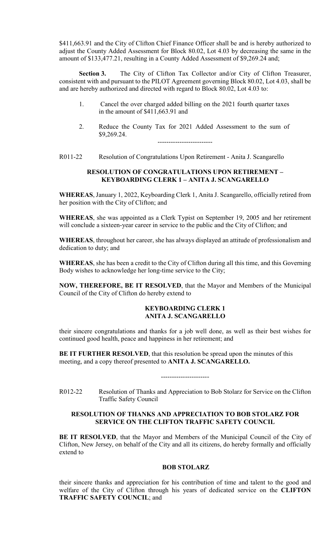\$411,663.91 and the City of Clifton Chief Finance Officer shall be and is hereby authorized to adjust the County Added Assessment for Block 80.02, Lot 4.03 by decreasing the same in the amount of \$133,477.21, resulting in a County Added Assessment of \$9,269.24 and;

**Section 3.** The City of Clifton Tax Collector and/or City of Clifton Treasurer, consistent with and pursuant to the PILOT Agreement governing Block 80.02, Lot 4.03, shall be and are hereby authorized and directed with regard to Block 80.02, Lot 4.03 to:

- 1. Cancel the over charged added billing on the 2021 fourth quarter taxes in the amount of \$411,663.91 and
- 2. Reduce the County Tax for 2021 Added Assessment to the sum of \$9,269.24.

-------------------------

R011-22 Resolution of Congratulations Upon Retirement - Anita J. Scangarello

## **RESOLUTION OF CONGRATULATIONS UPON RETIREMENT – KEYBOARDING CLERK 1 – ANITA J. SCANGARELLO**

**WHEREAS**, January 1, 2022, Keyboarding Clerk 1, Anita J. Scangarello, officially retired from her position with the City of Clifton; and

**WHEREAS**, she was appointed as a Clerk Typist on September 19, 2005 and her retirement will conclude a sixteen-year career in service to the public and the City of Clifton; and

**WHEREAS**, throughout her career, she has always displayed an attitude of professionalism and dedication to duty; and

**WHEREAS**, she has been a credit to the City of Clifton during all this time, and this Governing Body wishes to acknowledge her long-time service to the City;

**NOW, THEREFORE, BE IT RESOLVED**, that the Mayor and Members of the Municipal Council of the City of Clifton do hereby extend to

#### **KEYBOARDING CLERK 1 ANITA J. SCANGARELLO**

their sincere congratulations and thanks for a job well done, as well as their best wishes for continued good health, peace and happiness in her retirement; and

**BE IT FURTHER RESOLVED**, that this resolution be spread upon the minutes of this meeting, and a copy thereof presented to **ANITA J. SCANGARELLO.**

R012-22 Resolution of Thanks and Appreciation to Bob Stolarz for Service on the Clifton Traffic Safety Council

----------------------

## **RESOLUTION OF THANKS AND APPRECIATION TO BOB STOLARZ FOR SERVICE ON THE CLIFTON TRAFFIC SAFETY COUNCIL**

**BE IT RESOLVED**, that the Mayor and Members of the Municipal Council of the City of Clifton, New Jersey, on behalf of the City and all its citizens, do hereby formally and officially extend to

## **BOB STOLARZ**

their sincere thanks and appreciation for his contribution of time and talent to the good and welfare of the City of Clifton through his years of dedicated service on the **CLIFTON TRAFFIC SAFETY COUNCIL**; and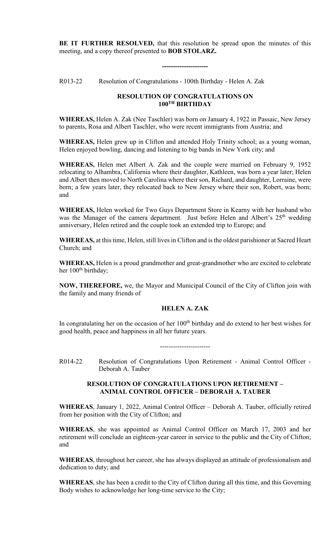**BE IT FURTHER RESOLVED,** that this resolution be spread upon the minutes of this meeting, and a copy thereof presented to **BOB STOLARZ.** 

**---------------------**

R013-22 Resolution of Congratulations - 100th Birthday - Helen A. Zak

## **RESOLUTION OF CONGRATULATIONS ON 100TH BIRTHDAY**

**WHEREAS,** Helen A. Zak (Nee Taschler) was born on January 4, 1922 in Passaic, New Jersey to parents, Rosa and Albert Taschler, who were recent immigrants from Austria; and

**WHEREAS,** Helen grew up in Clifton and attended Holy Trinity school; as a young woman, Helen enjoyed bowling, dancing and listening to big bands in New York city; and

**WHEREAS,** Helen met Albert A. Zak and the couple were married on February 9, 1952 relocating to Alhambra, California where their daughter, Kathleen, was born a year later; Helen and Albert then moved to North Carolina where their son, Richard, and daughter, Lorraine, were born; a few years later, they relocated back to New Jersey where their son, Robert, was born; and

**WHEREAS,** Helen worked for Two Guys Department Store in Kearny with her husband who was the Manager of the camera department. Just before Helen and Albert's 25<sup>th</sup> wedding anniversary, Helen retired and the couple took an extended trip to Europe; and

**WHEREAS,** at this time, Helen, still lives in Clifton and is the oldest parishioner at Sacred Heart Church; and

**WHEREAS,** Helen is a proud grandmother and great-grandmother who are excited to celebrate her 100<sup>th</sup> birthday;

**NOW, THEREFORE,** we, the Mayor and Municipal Council of the City of Clifton join with the family and many friends of

# **HELEN A. ZAK**

In congratulating her on the occasion of her  $100<sup>th</sup>$  birthday and do extend to her best wishes for good health, peace and happiness in all her future years.

-----------------------

R014-22 Resolution of Congratulations Upon Retirement - Animal Control Officer - Deborah A. Tauber

#### **RESOLUTION OF CONGRATULATIONS UPON RETIREMENT – ANIMAL CONTROL OFFICER – DEBORAH A. TAUBER**

**WHEREAS**, January 1, 2022, Animal Control Officer – Deborah A. Tauber, officially retired from her position with the City of Clifton; and

**WHEREAS**, she was appointed as Animal Control Officer on March 17, 2003 and her retirement will conclude an eighteen-year career in service to the public and the City of Clifton; and

**WHEREAS**, throughout her career, she has always displayed an attitude of professionalism and dedication to duty; and

**WHEREAS**, she has been a credit to the City of Clifton during all this time, and this Governing Body wishes to acknowledge her long-time service to the City;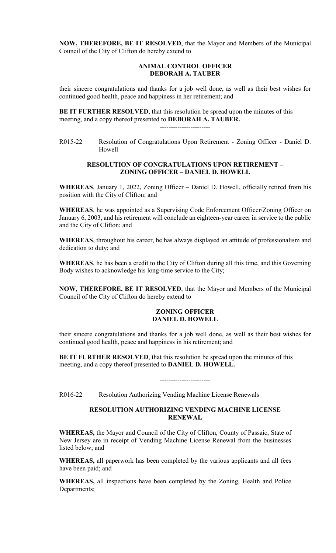**NOW, THEREFORE, BE IT RESOLVED**, that the Mayor and Members of the Municipal Council of the City of Clifton do hereby extend to

## **ANIMAL CONTROL OFFICER DEBORAH A. TAUBER**

their sincere congratulations and thanks for a job well done, as well as their best wishes for continued good health, peace and happiness in her retirement; and

**BE IT FURTHER RESOLVED**, that this resolution be spread upon the minutes of this meeting, and a copy thereof presented to **DEBORAH A. TAUBER.**

-----------------------

R015-22 Resolution of Congratulations Upon Retirement - Zoning Officer - Daniel D. Howell

## **RESOLUTION OF CONGRATULATIONS UPON RETIREMENT – ZONING OFFICER – DANIEL D. HOWELL**

**WHEREAS**, January 1, 2022, Zoning Officer – Daniel D. Howell, officially retired from his position with the City of Clifton; and

**WHEREAS**, he was appointed as a Supervising Code Enforcement Officer/Zoning Officer on January 6, 2003, and his retirement will conclude an eighteen-year career in service to the public and the City of Clifton; and

**WHEREAS**, throughout his career, he has always displayed an attitude of professionalism and dedication to duty; and

**WHEREAS**, he has been a credit to the City of Clifton during all this time, and this Governing Body wishes to acknowledge his long-time service to the City;

**NOW, THEREFORE, BE IT RESOLVED**, that the Mayor and Members of the Municipal Council of the City of Clifton do hereby extend to

## **ZONING OFFICER DANIEL D. HOWELL**

their sincere congratulations and thanks for a job well done, as well as their best wishes for continued good health, peace and happiness in his retirement; and

**BE IT FURTHER RESOLVED**, that this resolution be spread upon the minutes of this meeting, and a copy thereof presented to **DANIEL D. HOWELL.**

R016-22 Resolution Authorizing Vending Machine License Renewals

# **RESOLUTION AUTHORIZING VENDING MACHINE LICENSE RENEWAL**

-----------------------

**WHEREAS,** the Mayor and Council of the City of Clifton, County of Passaic, State of New Jersey are in receipt of Vending Machine License Renewal from the businesses listed below; and

**WHEREAS,** all paperwork has been completed by the various applicants and all fees have been paid; and

**WHEREAS,** all inspections have been completed by the Zoning, Health and Police Departments;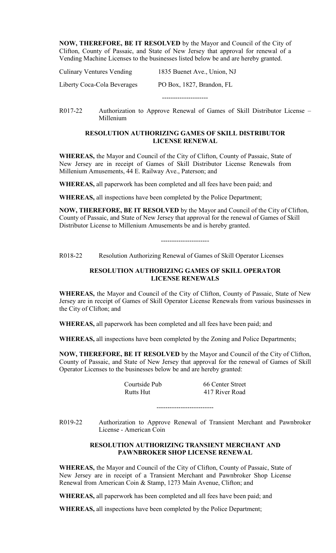**NOW, THEREFORE, BE IT RESOLVED** by the Mayor and Council of the City of Clifton, County of Passaic, and State of New Jersey that approval for renewal of a Vending Machine Licenses to the businesses listed below be and are hereby granted.

| Liberty Coca-Cola Beverages      | PO Box, 1827, Brandon, FL   |
|----------------------------------|-----------------------------|
| <b>Culinary Ventures Vending</b> | 1835 Buenet Ave., Union, NJ |

R017-22 Authorization to Approve Renewal of Games of Skill Distributor License – Millenium

## **RESOLUTION AUTHORIZING GAMES OF SKILL DISTRIBUTOR LICENSE RENEWAL**

**WHEREAS,** the Mayor and Council of the City of Clifton, County of Passaic, State of New Jersey are in receipt of Games of Skill Distributor License Renewals from Millenium Amusements, 44 E. Railway Ave., Paterson; and

**WHEREAS,** all paperwork has been completed and all fees have been paid; and

**WHEREAS,** all inspections have been completed by the Police Department;

**NOW, THEREFORE, BE IT RESOLVED** by the Mayor and Council of the City of Clifton, County of Passaic, and State of New Jersey that approval for the renewal of Games of Skill Distributor License to Millenium Amusements be and is hereby granted.

----------------------

R018-22 Resolution Authorizing Renewal of Games of Skill Operator Licenses

# **RESOLUTION AUTHORIZING GAMES OF SKILL OPERATOR LICENSE RENEWALS**

**WHEREAS,** the Mayor and Council of the City of Clifton, County of Passaic, State of New Jersey are in receipt of Games of Skill Operator License Renewals from various businesses in the City of Clifton; and

**WHEREAS,** all paperwork has been completed and all fees have been paid; and

**WHEREAS,** all inspections have been completed by the Zoning and Police Departments;

**NOW, THEREFORE, BE IT RESOLVED** by the Mayor and Council of the City of Clifton, County of Passaic, and State of New Jersey that approval for the renewal of Games of Skill Operator Licenses to the businesses below be and are hereby granted:

| Courtside Pub | 66 Center Street |
|---------------|------------------|
| Rutts Hut     | 417 River Road   |

R019-22 Authorization to Approve Renewal of Transient Merchant and Pawnbroker License - American Coin

--------------------------

#### **RESOLUTION AUTHORIZING TRANSIENT MERCHANT AND PAWNBROKER SHOP LICENSE RENEWAL**

**WHEREAS,** the Mayor and Council of the City of Clifton, County of Passaic, State of New Jersey are in receipt of a Transient Merchant and Pawnbroker Shop License Renewal from American Coin & Stamp, 1273 Main Avenue, Clifton; and

**WHEREAS,** all paperwork has been completed and all fees have been paid; and

**WHEREAS,** all inspections have been completed by the Police Department;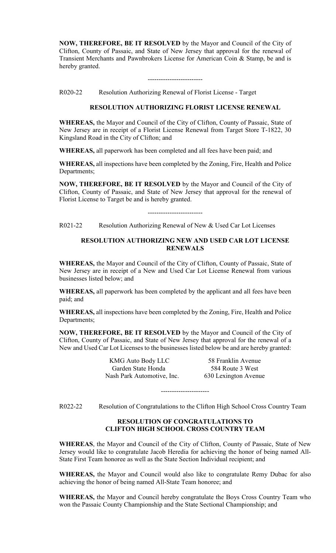**NOW, THEREFORE, BE IT RESOLVED** by the Mayor and Council of the City of Clifton, County of Passaic, and State of New Jersey that approval for the renewal of Transient Merchants and Pawnbrokers License for American Coin & Stamp, be and is hereby granted.

#### -------------------------

R020-22 Resolution Authorizing Renewal of Florist License - Target

#### **RESOLUTION AUTHORIZING FLORIST LICENSE RENEWAL**

**WHEREAS,** the Mayor and Council of the City of Clifton, County of Passaic, State of New Jersey are in receipt of a Florist License Renewal from Target Store T-1822, 30 Kingsland Road in the City of Clifton; and

**WHEREAS,** all paperwork has been completed and all fees have been paid; and

**WHEREAS,** all inspections have been completed by the Zoning, Fire, Health and Police Departments;

**NOW, THEREFORE, BE IT RESOLVED** by the Mayor and Council of the City of Clifton, County of Passaic, and State of New Jersey that approval for the renewal of Florist License to Target be and is hereby granted.

-------------------------

R021-22 Resolution Authorizing Renewal of New & Used Car Lot Licenses

## **RESOLUTION AUTHORIZING NEW AND USED CAR LOT LICENSE RENEWALS**

**WHEREAS,** the Mayor and Council of the City of Clifton, County of Passaic, State of New Jersey are in receipt of a New and Used Car Lot License Renewal from various businesses listed below; and

**WHEREAS,** all paperwork has been completed by the applicant and all fees have been paid; and

**WHEREAS,** all inspections have been completed by the Zoning, Fire, Health and Police Departments;

**NOW, THEREFORE, BE IT RESOLVED** by the Mayor and Council of the City of Clifton, County of Passaic, and State of New Jersey that approval for the renewal of a New and Used Car Lot Licenses to the businesses listed below be and are hereby granted:

> KMG Auto Body LLC 58 Franklin Avenue Garden State Honda 584 Route 3 West Nash Park Automotive, Inc. 630 Lexington Avenue

R022-22 Resolution of Congratulations to the Clifton High School Cross Country Team

----------------------

## **RESOLUTION OF CONGRATULATIONS TO CLIFTON HIGH SCHOOL CROSS COUNTRY TEAM**

**WHEREAS**, the Mayor and Council of the City of Clifton, County of Passaic, State of New Jersey would like to congratulate Jacob Heredia for achieving the honor of being named All-State First Team honoree as well as the State Section Individual recipient; and

**WHEREAS,** the Mayor and Council would also like to congratulate Remy Dubac for also achieving the honor of being named All-State Team honoree; and

**WHEREAS,** the Mayor and Council hereby congratulate the Boys Cross Country Team who won the Passaic County Championship and the State Sectional Championship; and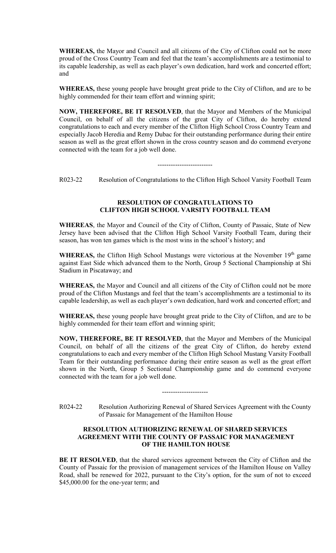**WHEREAS,** the Mayor and Council and all citizens of the City of Clifton could not be more proud of the Cross Country Team and feel that the team's accomplishments are a testimonial to its capable leadership, as well as each player's own dedication, hard work and concerted effort; and

**WHEREAS,** these young people have brought great pride to the City of Clifton, and are to be highly commended for their team effort and winning spirit;

**NOW, THEREFORE, BE IT RESOLVED**, that the Mayor and Members of the Municipal Council, on behalf of all the citizens of the great City of Clifton, do hereby extend congratulations to each and every member of the Clifton High School Cross Country Team and especially Jacob Heredia and Remy Dubac for their outstanding performance during their entire season as well as the great effort shown in the cross country season and do commend everyone connected with the team for a job well done.

-------------------------

R023-22 Resolution of Congratulations to the Clifton High School Varsity Football Team

## **RESOLUTION OF CONGRATULATIONS TO CLIFTON HIGH SCHOOL VARSITY FOOTBALL TEAM**

**WHEREAS**, the Mayor and Council of the City of Clifton, County of Passaic, State of New Jersey have been advised that the Clifton High School Varsity Football Team, during their season, has won ten games which is the most wins in the school's history; and

WHEREAS, the Clifton High School Mustangs were victorious at the November 19<sup>th</sup> game against East Side which advanced them to the North, Group 5 Sectional Championship at Shi Stadium in Piscataway; and

**WHEREAS,** the Mayor and Council and all citizens of the City of Clifton could not be more proud of the Clifton Mustangs and feel that the team's accomplishments are a testimonial to its capable leadership, as well as each player's own dedication, hard work and concerted effort; and

**WHEREAS,** these young people have brought great pride to the City of Clifton, and are to be highly commended for their team effort and winning spirit;

**NOW, THEREFORE, BE IT RESOLVED**, that the Mayor and Members of the Municipal Council, on behalf of all the citizens of the great City of Clifton, do hereby extend congratulations to each and every member of the Clifton High School Mustang Varsity Football Team for their outstanding performance during their entire season as well as the great effort shown in the North, Group 5 Sectional Championship game and do commend everyone connected with the team for a job well done.

R024-22 Resolution Authorizing Renewal of Shared Services Agreement with the County of Passaic for Management of the Hamilton House

---------------------

## **RESOLUTION AUTHORIZING RENEWAL OF SHARED SERVICES AGREEMENT WITH THE COUNTY OF PASSAIC FOR MANAGEMENT OF THE HAMILTON HOUSE**

**BE IT RESOLVED**, that the shared services agreement between the City of Clifton and the County of Passaic for the provision of management services of the Hamilton House on Valley Road, shall be renewed for 2022, pursuant to the City's option, for the sum of not to exceed \$45,000.00 for the one-year term; and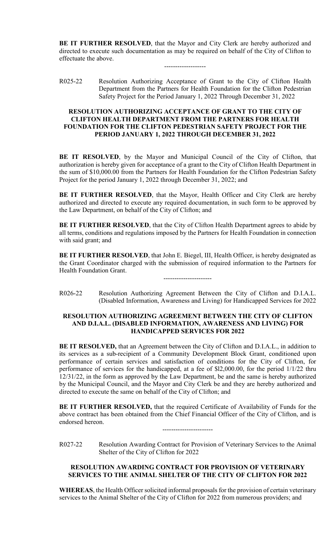**BE IT FURTHER RESOLVED**, that the Mayor and City Clerk are hereby authorized and directed to execute such documentation as may be required on behalf of the City of Clifton to effectuate the above.

-------------------

R025-22 Resolution Authorizing Acceptance of Grant to the City of Clifton Health Department from the Partners for Health Foundation for the Clifton Pedestrian Safety Project for the Period January 1, 2022 Through December 31, 2022

## **RESOLUTION AUTHORIZING ACCEPTANCE OF GRANT TO THE CITY OF CLIFTON HEALTH DEPARTMENT FROM THE PARTNERS FOR HEALTH FOUNDATION FOR THE CLIFTON PEDESTRIAN SAFETY PROJECT FOR THE PERIOD JANUARY 1, 2022 THROUGH DECEMBER 31, 2022**

**BE IT RESOLVED**, by the Mayor and Municipal Council of the City of Clifton, that authorization is hereby given for acceptance of a grant to the City of Clifton Health Department in the sum of \$10,000.00 from the Partners for Health Foundation for the Clifton Pedestrian Safety Project for the period January 1, 2022 through December 31, 2022; and

**BE IT FURTHER RESOLVED**, that the Mayor, Health Officer and City Clerk are hereby authorized and directed to execute any required documentation, in such form to be approved by the Law Department, on behalf of the City of Clifton; and

**BE IT FURTHER RESOLVED**, that the City of Clifton Health Department agrees to abide by all terms, conditions and regulations imposed by the Partners for Health Foundation in connection with said grant; and

**BE IT FURTHER RESOLVED**, that John E. Biegel, III, Health Officer, is hereby designated as the Grant Coordinator charged with the submission of required information to the Partners for Health Foundation Grant.

----------------------

R026-22 Resolution Authorizing Agreement Between the City of Clifton and D.I.A.L. (Disabled Information, Awareness and Living) for Handicapped Services for 2022

## **RESOLUTION AUTHORIZING AGREEMENT BETWEEN THE CITY OF CLIFTON AND D.I.A.L. (DISABLED INFORMATION, AWARENESS AND LIVING) FOR HANDICAPPED SERVICES FOR 2022**

**BE IT RESOLVED,** that an Agreement between the City of Clifton and D.I.A.L., in addition to its services as a sub-recipient of a Community Development Block Grant, conditioned upon performance of certain services and satisfaction of conditions for the City of Clifton, for performance of services for the handicapped, at a fee of \$l2,000.00, for the period 1/1/22 thru 12/31/22, in the form as approved by the Law Department, be and the same is hereby authorized by the Municipal Council, and the Mayor and City Clerk be and they are hereby authorized and directed to execute the same on behalf of the City of Clifton; and

**BE IT FURTHER RESOLVED,** that the required Certificate of Availability of Funds for the above contract has been obtained from the Chief Financial Officer of the City of Clifton, and is endorsed hereon.

-----------------------

R027-22 Resolution Awarding Contract for Provision of Veterinary Services to the Animal Shelter of the City of Clifton for 2022

# **RESOLUTION AWARDING CONTRACT FOR PROVISION OF VETERINARY SERVICES TO THE ANIMAL SHELTER OF THE CITY OF CLIFTON FOR 2022**

**WHEREAS**, the Health Officer solicited informal proposals for the provision of certain veterinary services to the Animal Shelter of the City of Clifton for 2022 from numerous providers; and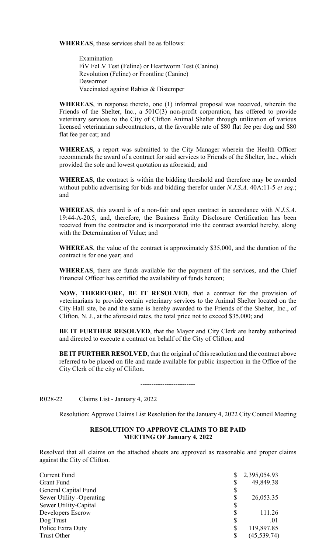**WHEREAS**, these services shall be as follows:

Examination FiV FeLV Test (Feline) or Heartworm Test (Canine) Revolution (Feline) or Frontline (Canine) Dewormer Vaccinated against Rabies & Distemper

**WHEREAS**, in response thereto, one (1) informal proposal was received, wherein the Friends of the Shelter, Inc., a 501C(3) non-profit corporation, has offered to provide veterinary services to the City of Clifton Animal Shelter through utilization of various licensed veterinarian subcontractors, at the favorable rate of \$80 flat fee per dog and \$80 flat fee per cat; and

**WHEREAS**, a report was submitted to the City Manager wherein the Health Officer recommends the award of a contract for said services to Friends of the Shelter, Inc., which provided the sole and lowest quotation as aforesaid; and

**WHEREAS**, the contract is within the bidding threshold and therefore may be awarded without public advertising for bids and bidding therefor under *N.J.S.A*. 40A:11-5 *et seq*.; and

**WHEREAS**, this award is of a non-fair and open contract in accordance with *N.J.S.A*. 19:44-A-20.5, and, therefore, the Business Entity Disclosure Certification has been received from the contractor and is incorporated into the contract awarded hereby, along with the Determination of Value; and

**WHEREAS**, the value of the contract is approximately \$35,000, and the duration of the contract is for one year; and

**WHEREAS**, there are funds available for the payment of the services, and the Chief Financial Officer has certified the availability of funds hereon;

**NOW, THEREFORE, BE IT RESOLVED**, that a contract for the provision of veterinarians to provide certain veterinary services to the Animal Shelter located on the City Hall site, be and the same is hereby awarded to the Friends of the Shelter, Inc., of Clifton, N. J., at the aforesaid rates, the total price not to exceed \$35,000; and

**BE IT FURTHER RESOLVED**, that the Mayor and City Clerk are hereby authorized and directed to execute a contract on behalf of the City of Clifton; and

**BE IT FURTHER RESOLVED**, that the original of this resolution and the contract above referred to be placed on file and made available for public inspection in the Office of the City Clerk of the city of Clifton.

-------------------------

R028-22 Claims List - January 4, 2022

Resolution: Approve Claims List Resolution for the January 4, 2022 City Council Meeting

## **RESOLUTION TO APPROVE CLAIMS TO BE PAID MEETING OF January 4, 2022**

Resolved that all claims on the attached sheets are approved as reasonable and proper claims against the City of Clifton.

| Current Fund             | 2,395,054.93       |
|--------------------------|--------------------|
| <b>Grant Fund</b>        | 49,849.38          |
| General Capital Fund     | \$                 |
| Sewer Utility -Operating | \$<br>26,053.35    |
| Sewer Utility-Capital    | \$                 |
| Developers Escrow        | 111.26             |
| Dog Trust                | \$<br>.01          |
| Police Extra Duty        | \$<br>119,897.85   |
| Trust Other              | \$<br>(45, 539.74) |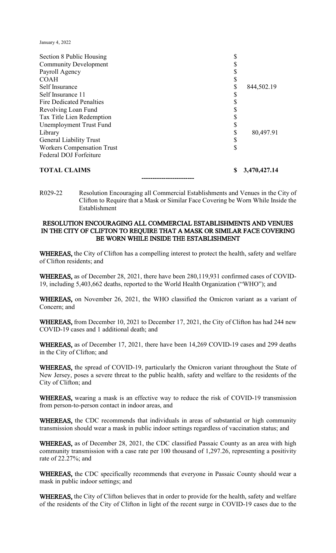January 4, 2022

| Section 8 Public Housing          |    |              |
|-----------------------------------|----|--------------|
| <b>Community Development</b>      |    |              |
| Payroll Agency                    |    |              |
| <b>COAH</b>                       |    |              |
| Self Insurance                    | \$ | 844,502.19   |
| Self Insurance 11                 | \$ |              |
| <b>Fire Dedicated Penalties</b>   |    |              |
| Revolving Loan Fund               |    |              |
| Tax Title Lien Redemption         |    |              |
| Unemployment Trust Fund           |    |              |
| Library                           |    | 80,497.91    |
| <b>General Liability Trust</b>    |    |              |
| <b>Workers Compensation Trust</b> | \$ |              |
| Federal DOJ Forfeiture            |    |              |
| <b>TOTAL CLAIMS</b>               | S  | 3,470,427.14 |

R029-22 Resolution Encouraging all Commercial Establishments and Venues in the City of Clifton to Require that a Mask or Similar Face Covering be Worn While Inside the Establishment

**------------------------**

## RESOLUTION ENCOURAGING ALL COMMERCIAL ESTABLISHMENTS AND VENUES IN THE CITY OF CLIFTON TO REQUIRE THAT A MASK OR SIMILAR FACE COVERING BE WORN WHILE INSIDE THE ESTABLISHMENT

WHEREAS, the City of Clifton has a compelling interest to protect the health, safety and welfare of Clifton residents; and

WHEREAS, as of December 28, 2021, there have been 280,119,931 confirmed cases of COVID-19, including 5,403,662 deaths, reported to the World Health Organization ("WHO"); and

WHEREAS, on November 26, 2021, the WHO classified the Omicron variant as a variant of Concern; and

WHEREAS, from December 10, 2021 to December 17, 2021, the City of Clifton has had 244 new COVID-19 cases and 1 additional death; and

WHEREAS, as of December 17, 2021, there have been 14,269 COVID-19 cases and 299 deaths in the City of Clifton; and

WHEREAS, the spread of COVID-19, particularly the Omicron variant throughout the State of New Jersey, poses a severe threat to the public health, safety and welfare to the residents of the City of Clifton; and

WHEREAS, wearing a mask is an effective way to reduce the risk of COVID-19 transmission from person-to-person contact in indoor areas, and

WHEREAS, the CDC recommends that individuals in areas of substantial or high community transmission should wear a mask in public indoor settings regardless of vaccination status; and

WHEREAS, as of December 28, 2021, the CDC classified Passaic County as an area with high community transmission with a case rate per 100 thousand of 1,297.26, representing a positivity rate of 22.27%; and

WHEREAS, the CDC specifically recommends that everyone in Passaic County should wear a mask in public indoor settings; and

WHEREAS, the City of Clifton believes that in order to provide for the health, safety and welfare of the residents of the City of Clifton in light of the recent surge in COVID-19 cases due to the